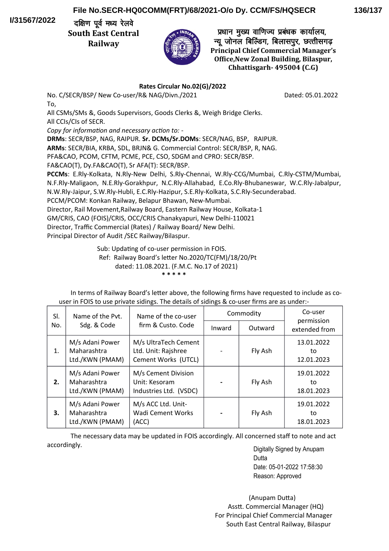**I/31567/2022**

## **File No.SECR-HQ0COMM(FRT)/68/2021-O/o Dy. CCM/FS/HQSECR**

दक्षिण पूर्व मध्य रेलवे **South East Central Railway**



प्रधान मुख्य वाणिज्य प्रबंधक कार्यालय, न्यू जोनल बिल्डिंग, बिलासपुर, छत्तीसगढ **Principal Chief Commercial Manager's Office,New Zonal Building, Bilaspur, Chhattisgarh- 495004 (C.G)**

## **Rates Circular No.02(G)/2022**

No. C/SECR/BSP/ New Co-user/R& NAG/Divn./2021 Dated: 05.01.2022 To,

All CSMs/SMs &, Goods Supervisors, Goods Clerks &, Weigh Bridge Clerks. All CCIs/CIs of SECR.

*Copy for information and necessary action to: -*

**DRMs**: SECR/BSP, NAG, RAIPUR. **Sr. DCMs/Sr.DOMs**: SECR/NAG, BSP, RAIPUR.

**ARMs**: SECR/BIA, KRBA, SDL, BRJN& G. Commercial Control: SECR/BSP, R, NAG.

PFA&CAO, PCOM, CFTM, PCME, PCE, CSO, SDGM and CPRO: SECR/BSP.

FA&CAO(T), Dy.FA&CAO(T), Sr AFA(T): SECR/BSP.

**PCCMs**: E.Rly-Kolkata, N.Rly-New Delhi, S.Rly-Chennai, W.Rly-CCG/Mumbai, C.Rly-CSTM/Mumbai, N.F.Rly-Maligaon, N.E.Rly-Gorakhpur, N.C.Rly-Allahabad, E.Co.Rly-Bhubaneswar, W.C.Rly-Jabalpur, N.W.Rly-Jaipur, S.W.Rly-Hubli, E.C.Rly-Hazipur, S.E.Rly-Kolkata, S.C.Rly-Secunderabad.

PCCM/PCOM: Konkan Railway, Belapur Bhawan, New-Mumbai.

Director, Rail Movement,Railway Board, Eastern Railway House, Kolkata-1

GM/CRIS, CAO (FOIS)/CRIS, OCC/CRIS Chanakyapuri, New Delhi-110021

Director, Traffic Commercial (Rates) / Railway Board/ New Delhi.

Principal Director of Audit /SEC Railway/Bilaspur.

Sub: Updating of co-user permission in FOIS.

Ref: Railway Board's leter No.2020/TC(FM)/18/20/Pt

dated: 11.08.2021. (F.M.C. No.17 of 2021)

 **\* \* \* \* \***

In terms of Railway Board's letter above, the following firms have requested to include as couser in FOIS to use private sidings. The details of sidings & co-user frms are as under:-

| SI. | Name of the Pyt.                                  | Name of the co-user<br>firm & Custo, Code                          | Commodity |         | Co-user                        |
|-----|---------------------------------------------------|--------------------------------------------------------------------|-----------|---------|--------------------------------|
| No. | Sdg. & Code                                       |                                                                    | Inward    | Outward | permission<br>extended from    |
| 1.  | M/s Adani Power<br>Maharashtra<br>Ltd./KWN (PMAM) | M/s UltraTech Cement<br>Ltd. Unit: Rajshree<br>Cement Works (UTCL) |           | Fly Ash | 13.01.2022<br>to<br>12.01.2023 |
| 2.  | M/s Adani Power<br>Maharashtra<br>Ltd./KWN (PMAM) | M/s Cement Division<br>Unit: Kesoram<br>Industries Ltd. (VSDC)     |           | Fly Ash | 19.01.2022<br>to<br>18.01.2023 |
| 3.  | M/s Adani Power<br>Maharashtra<br>Ltd./KWN (PMAM) | M/s ACC Ltd. Unit-<br><b>Wadi Cement Works</b><br>(ACC)            |           | Fly Ash | 19.01.2022<br>to<br>18.01.2023 |

The necessary data may be updated in FOIS accordingly. All concerned staff to note and act accordingly.

Digitally Signed by Anupam Dutta Date: 05-01-2022 17:58:30 Reason: Approved

 (Anupam Duta) Asstt. Commercial Manager (HQ) For Principal Chief Commercial Manager South East Central Railway, Bilaspur